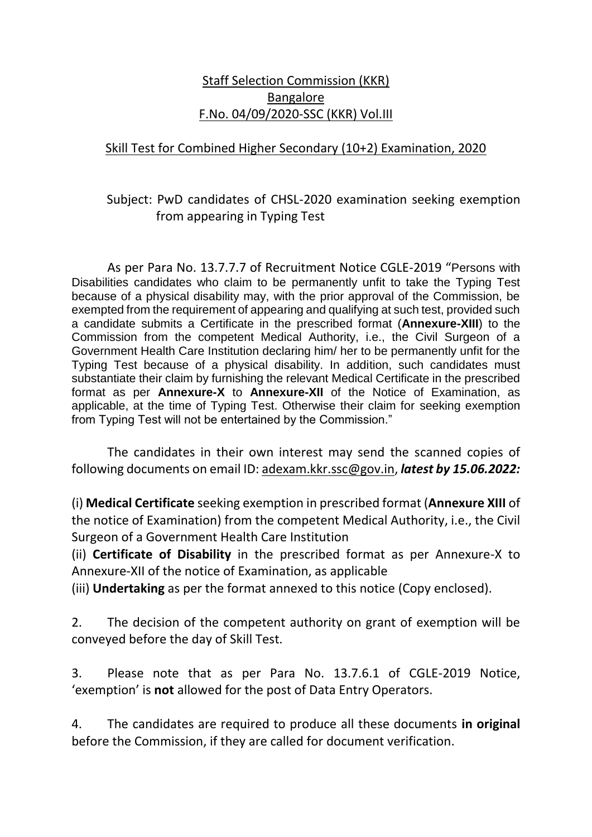## Staff Selection Commission (KKR) Bangalore F.No. 04/09/2020-SSC (KKR) Vol.III

## Skill Test for Combined Higher Secondary (10+2) Examination, 2020

## Subject: PwD candidates of CHSL-2020 examination seeking exemption from appearing in Typing Test

As per Para No. 13.7.7.7 of Recruitment Notice CGLE-2019 "Persons with Disabilities candidates who claim to be permanently unfit to take the Typing Test because of a physical disability may, with the prior approval of the Commission, be exempted from the requirement of appearing and qualifying at such test, provided such a candidate submits a Certificate in the prescribed format (**Annexure-XIII**) to the Commission from the competent Medical Authority, i.e., the Civil Surgeon of a Government Health Care Institution declaring him/ her to be permanently unfit for the Typing Test because of a physical disability. In addition, such candidates must substantiate their claim by furnishing the relevant Medical Certificate in the prescribed format as per **Annexure-X** to **Annexure-XII** of the Notice of Examination, as applicable, at the time of Typing Test. Otherwise their claim for seeking exemption from Typing Test will not be entertained by the Commission."

The candidates in their own interest may send the scanned copies of following documents on email ID: adexam.kkr.ssc@gov.in, *latest by 15.06.2022:*

(i) **Medical Certificate** seeking exemption in prescribed format (**Annexure XIII** of the notice of Examination) from the competent Medical Authority, i.e., the Civil Surgeon of a Government Health Care Institution

(ii) **Certificate of Disability** in the prescribed format as per Annexure-X to Annexure-XII of the notice of Examination, as applicable

(iii) **Undertaking** as per the format annexed to this notice (Copy enclosed).

2. The decision of the competent authority on grant of exemption will be conveyed before the day of Skill Test.

3. Please note that as per Para No. 13.7.6.1 of CGLE-2019 Notice, 'exemption' is **not** allowed for the post of Data Entry Operators.

4. The candidates are required to produce all these documents **in original** before the Commission, if they are called for document verification.